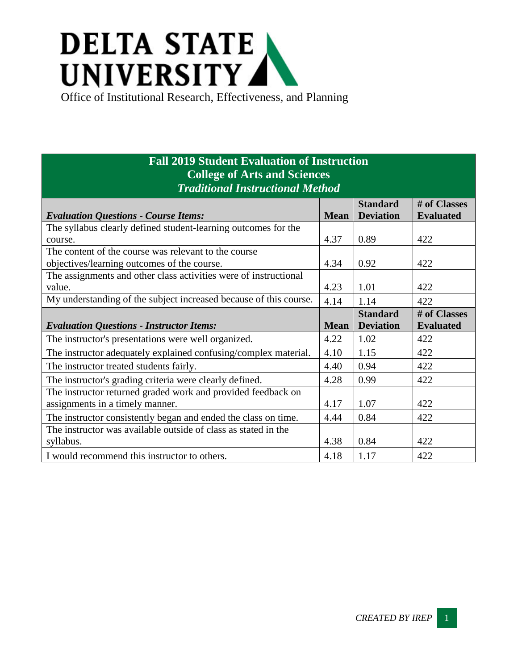## **DELTA STATE** UNIVERSITY

Office of Institutional Research, Effectiveness, and Planning

## **Fall 2019 Student Evaluation of Instruction College of Arts and Sciences** *Traditional Instructional Method*

|                                                                   |             | <b>Standard</b>  | # of Classes     |
|-------------------------------------------------------------------|-------------|------------------|------------------|
| <b>Evaluation Questions - Course Items:</b>                       | <b>Mean</b> | <b>Deviation</b> | <b>Evaluated</b> |
| The syllabus clearly defined student-learning outcomes for the    |             |                  |                  |
| course.                                                           | 4.37        | 0.89             | 422              |
| The content of the course was relevant to the course              |             |                  |                  |
| objectives/learning outcomes of the course.                       | 4.34        | 0.92             | 422              |
| The assignments and other class activities were of instructional  |             |                  |                  |
| value.                                                            | 4.23        | 1.01             | 422              |
| My understanding of the subject increased because of this course. | 4.14        | 1.14             | 422              |
|                                                                   |             | <b>Standard</b>  | # of Classes     |
| <b>Evaluation Questions - Instructor Items:</b>                   | <b>Mean</b> | <b>Deviation</b> | <b>Evaluated</b> |
| The instructor's presentations were well organized.               | 4.22        | 1.02             | 422              |
| The instructor adequately explained confusing/complex material.   | 4.10        | 1.15             | 422              |
| The instructor treated students fairly.                           | 4.40        | 0.94             | 422              |
| The instructor's grading criteria were clearly defined.           | 4.28        | 0.99             | 422              |
| The instructor returned graded work and provided feedback on      |             |                  |                  |
| assignments in a timely manner.                                   | 4.17        | 1.07             | 422              |
| The instructor consistently began and ended the class on time.    | 4.44        | 0.84             | 422              |
| The instructor was available outside of class as stated in the    |             |                  |                  |
| syllabus.                                                         | 4.38        | 0.84             | 422              |
| I would recommend this instructor to others.                      | 4.18        | 1.17             | 422              |